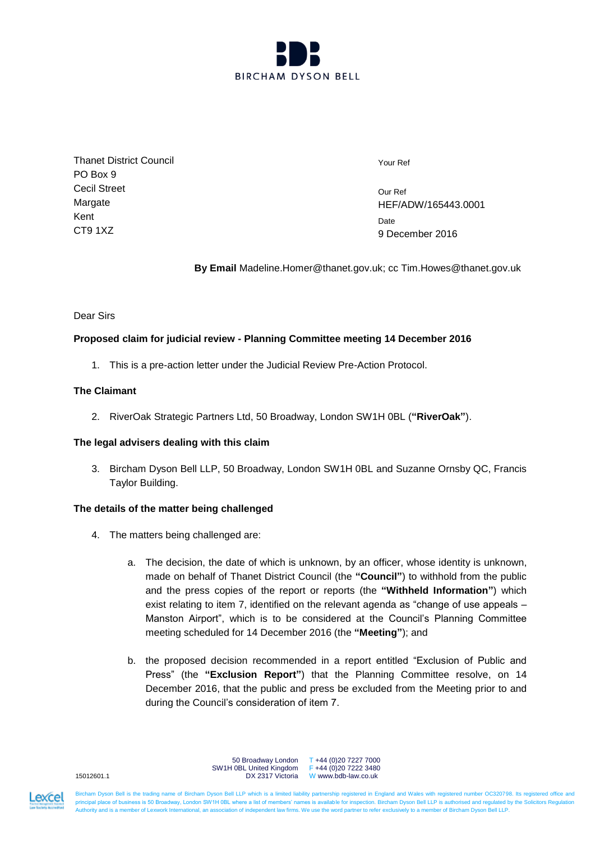

Thanet District Council PO Box 9 Cecil Street Margate Kent CT9 1XZ

Your Ref

Our Ref HEF/ADW/165443.0001 **Date** 9 December 2016

**By Email** Madeline.Homer@thanet.gov.uk; cc Tim.Howes@thanet.gov.uk

### Dear Sirs

# **Proposed claim for judicial review - Planning Committee meeting 14 December 2016**

1. This is a pre-action letter under the Judicial Review Pre-Action Protocol.

## **The Claimant**

2. RiverOak Strategic Partners Ltd, 50 Broadway, London SW1H 0BL (**"RiverOak"**).

#### **The legal advisers dealing with this claim**

3. Bircham Dyson Bell LLP, 50 Broadway, London SW1H 0BL and Suzanne Ornsby QC, Francis Taylor Building.

# **The details of the matter being challenged**

- 4. The matters being challenged are:
	- a. The decision, the date of which is unknown, by an officer, whose identity is unknown, made on behalf of Thanet District Council (the **"Council"**) to withhold from the public and the press copies of the report or reports (the **"Withheld Information"**) which exist relating to item 7, identified on the relevant agenda as "change of use appeals – Manston Airport", which is to be considered at the Council's Planning Committee meeting scheduled for 14 December 2016 (the **"Meeting"**); and
	- b. the proposed decision recommended in a report entitled "Exclusion of Public and Press" (the **"Exclusion Report"**) that the Planning Committee resolve, on 14 December 2016, that the public and press be excluded from the Meeting prior to and during the Council's consideration of item 7.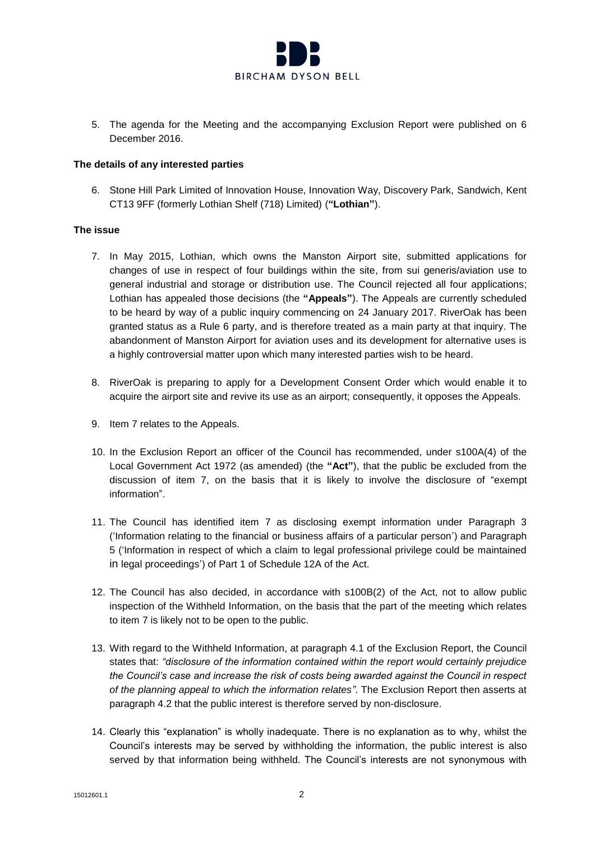

5. The agenda for the Meeting and the accompanying Exclusion Report were published on 6 December 2016.

#### **The details of any interested parties**

6. Stone Hill Park Limited of Innovation House, Innovation Way, Discovery Park, Sandwich, Kent CT13 9FF (formerly Lothian Shelf (718) Limited) (**"Lothian"**).

### **The issue**

- 7. In May 2015, Lothian, which owns the Manston Airport site, submitted applications for changes of use in respect of four buildings within the site, from sui generis/aviation use to general industrial and storage or distribution use. The Council rejected all four applications; Lothian has appealed those decisions (the **"Appeals"**). The Appeals are currently scheduled to be heard by way of a public inquiry commencing on 24 January 2017. RiverOak has been granted status as a Rule 6 party, and is therefore treated as a main party at that inquiry. The abandonment of Manston Airport for aviation uses and its development for alternative uses is a highly controversial matter upon which many interested parties wish to be heard.
- 8. RiverOak is preparing to apply for a Development Consent Order which would enable it to acquire the airport site and revive its use as an airport; consequently, it opposes the Appeals.
- 9. Item 7 relates to the Appeals.
- 10. In the Exclusion Report an officer of the Council has recommended, under s100A(4) of the Local Government Act 1972 (as amended) (the **"Act"**), that the public be excluded from the discussion of item 7, on the basis that it is likely to involve the disclosure of "exempt information".
- 11. The Council has identified item 7 as disclosing exempt information under Paragraph 3 ('Information relating to the financial or business affairs of a particular person') and Paragraph 5 ('Information in respect of which a claim to legal professional privilege could be maintained in legal proceedings') of Part 1 of Schedule 12A of the Act.
- 12. The Council has also decided, in accordance with s100B(2) of the Act, not to allow public inspection of the Withheld Information, on the basis that the part of the meeting which relates to item 7 is likely not to be open to the public.
- 13. With regard to the Withheld Information, at paragraph 4.1 of the Exclusion Report, the Council states that: *"disclosure of the information contained within the report would certainly prejudice the Council's case and increase the risk of costs being awarded against the Council in respect of the planning appeal to which the information relates"*. The Exclusion Report then asserts at paragraph 4.2 that the public interest is therefore served by non-disclosure.
- 14. Clearly this "explanation" is wholly inadequate. There is no explanation as to why, whilst the Council's interests may be served by withholding the information, the public interest is also served by that information being withheld. The Council's interests are not synonymous with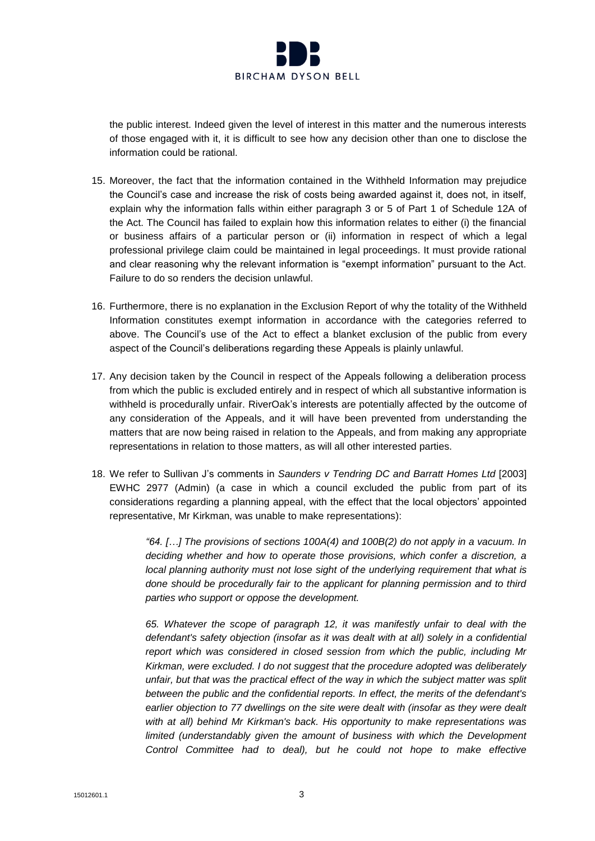

the public interest. Indeed given the level of interest in this matter and the numerous interests of those engaged with it, it is difficult to see how any decision other than one to disclose the information could be rational.

- 15. Moreover, the fact that the information contained in the Withheld Information may prejudice the Council's case and increase the risk of costs being awarded against it, does not, in itself, explain why the information falls within either paragraph 3 or 5 of Part 1 of Schedule 12A of the Act. The Council has failed to explain how this information relates to either (i) the financial or business affairs of a particular person or (ii) information in respect of which a legal professional privilege claim could be maintained in legal proceedings. It must provide rational and clear reasoning why the relevant information is "exempt information" pursuant to the Act. Failure to do so renders the decision unlawful.
- 16. Furthermore, there is no explanation in the Exclusion Report of why the totality of the Withheld Information constitutes exempt information in accordance with the categories referred to above. The Council's use of the Act to effect a blanket exclusion of the public from every aspect of the Council's deliberations regarding these Appeals is plainly unlawful.
- 17. Any decision taken by the Council in respect of the Appeals following a deliberation process from which the public is excluded entirely and in respect of which all substantive information is withheld is procedurally unfair. RiverOak's interests are potentially affected by the outcome of any consideration of the Appeals, and it will have been prevented from understanding the matters that are now being raised in relation to the Appeals, and from making any appropriate representations in relation to those matters, as will all other interested parties.
- 18. We refer to Sullivan J's comments in *Saunders v Tendring DC and Barratt Homes Ltd* [2003] EWHC 2977 (Admin) (a case in which a council excluded the public from part of its considerations regarding a planning appeal, with the effect that the local objectors' appointed representative, Mr Kirkman, was unable to make representations):

*"64. […] The provisions of sections 100A(4) and 100B(2) do not apply in a vacuum. In deciding whether and how to operate those provisions, which confer a discretion, a local planning authority must not lose sight of the underlying requirement that what is done should be procedurally fair to the applicant for planning permission and to third parties who support or oppose the development.*

*65. Whatever the scope of paragraph 12, it was manifestly unfair to deal with the defendant's safety objection (insofar as it was dealt with at all) solely in a confidential report which was considered in closed session from which the public, including Mr Kirkman, were excluded. I do not suggest that the procedure adopted was deliberately unfair, but that was the practical effect of the way in which the subject matter was split between the public and the confidential reports. In effect, the merits of the defendant's earlier objection to 77 dwellings on the site were dealt with (insofar as they were dealt with at all) behind Mr Kirkman's back. His opportunity to make representations was limited (understandably given the amount of business with which the Development* Control Committee had to deal), but he could not hope to make effective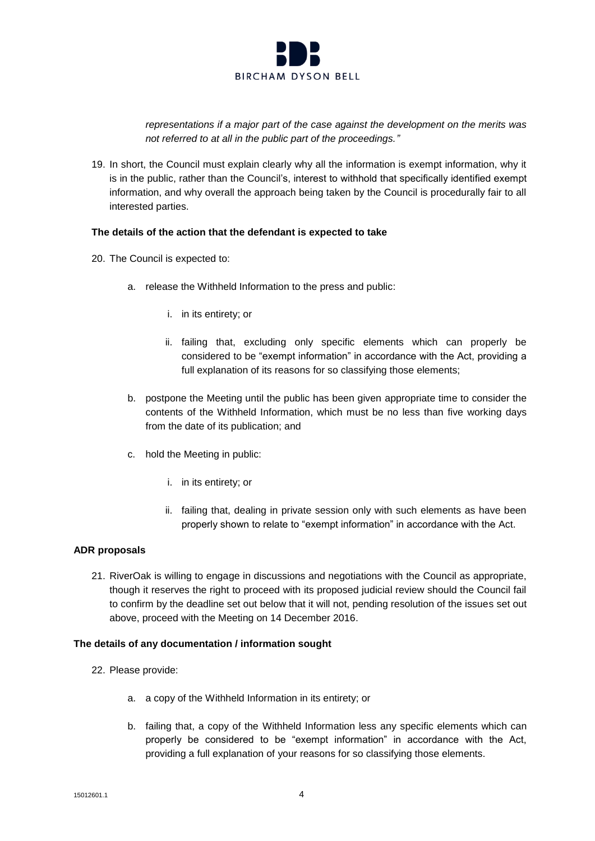

*representations if a major part of the case against the development on the merits was not referred to at all in the public part of the proceedings."*

19. In short, the Council must explain clearly why all the information is exempt information, why it is in the public, rather than the Council's, interest to withhold that specifically identified exempt information, and why overall the approach being taken by the Council is procedurally fair to all interested parties.

#### **The details of the action that the defendant is expected to take**

- 20. The Council is expected to:
	- a. release the Withheld Information to the press and public:
		- i. in its entirety; or
		- ii. failing that, excluding only specific elements which can properly be considered to be "exempt information" in accordance with the Act, providing a full explanation of its reasons for so classifying those elements;
	- b. postpone the Meeting until the public has been given appropriate time to consider the contents of the Withheld Information, which must be no less than five working days from the date of its publication; and
	- c. hold the Meeting in public:
		- i. in its entirety; or
		- ii. failing that, dealing in private session only with such elements as have been properly shown to relate to "exempt information" in accordance with the Act.

# **ADR proposals**

21. RiverOak is willing to engage in discussions and negotiations with the Council as appropriate, though it reserves the right to proceed with its proposed judicial review should the Council fail to confirm by the deadline set out below that it will not, pending resolution of the issues set out above, proceed with the Meeting on 14 December 2016.

#### **The details of any documentation / information sought**

- 22. Please provide:
	- a. a copy of the Withheld Information in its entirety; or
	- b. failing that, a copy of the Withheld Information less any specific elements which can properly be considered to be "exempt information" in accordance with the Act, providing a full explanation of your reasons for so classifying those elements.